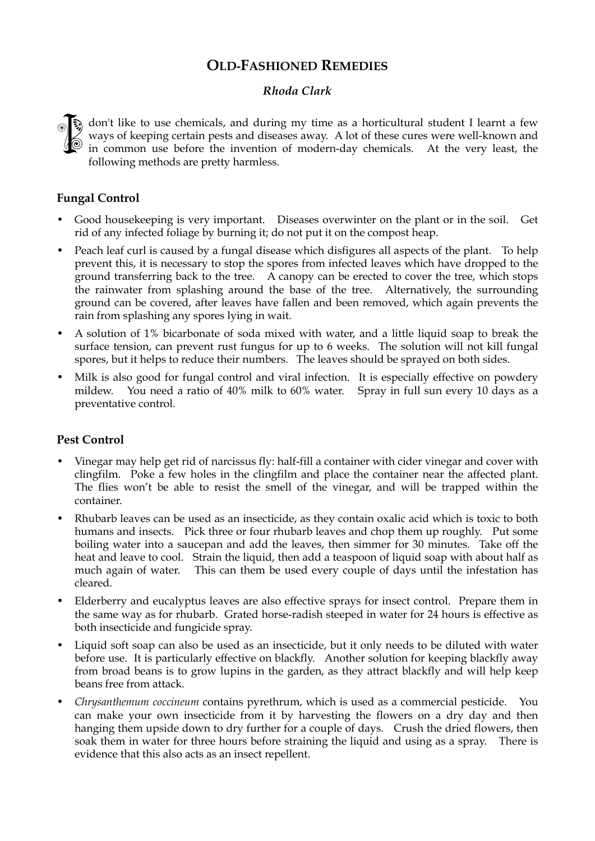# **OLD-FASHIONED REMEDIES**

# *Rhoda Clark*

don't like to use chemicals, and during my time as a horticultural student I learnt a few ways of keeping certain pests and diseases away. A lot of these cures were well-known and in common use before the invention of mode ways of keeping certain pests and diseases away. A lot of these cures were well-known and in common use before the invention of modern-day chemicals. At the very least, the following methods are pretty harmless.

## **Fungal Control**

- Good housekeeping is very important. Diseases overwinter on the plant or in the soil. Get rid of any infected foliage by burning it; do not put it on the compost heap.
- Peach leaf curl is caused by a fungal disease which disfigures all aspects of the plant. To help prevent this, it is necessary to stop the spores from infected leaves which have dropped to the ground transferring back to the tree. A canopy can be erected to cover the tree, which stops the rainwater from splashing around the base of the tree. Alternatively, the surrounding ground can be covered, after leaves have fallen and been removed, which again prevents the rain from splashing any spores lying in wait.
- A solution of 1% bicarbonate of soda mixed with water, and a little liquid soap to break the surface tension, can prevent rust fungus for up to 6 weeks. The solution will not kill fungal spores, but it helps to reduce their numbers. The leaves should be sprayed on both sides.
- Milk is also good for fungal control and viral infection. It is especially effective on powdery mildew. You need a ratio of 40% milk to 60% water. Spray in full sun every 10 days as a preventative control.

#### **Pest Control**

- Vinegar may help get rid of narcissus fly: half-fill a container with cider vinegar and cover with clingfilm. Poke a few holes in the clingfilm and place the container near the affected plant. The flies won't be able to resist the smell of the vinegar, and will be trapped within the container.
- Rhubarb leaves can be used as an insecticide, as they contain oxalic acid which is toxic to both humans and insects. Pick three or four rhubarb leaves and chop them up roughly. Put some boiling water into a saucepan and add the leaves, then simmer for 30 minutes. Take off the heat and leave to cool. Strain the liquid, then add a teaspoon of liquid soap with about half as much again of water. This can them be used every couple of days until the infestation has cleared.
- Elderberry and eucalyptus leaves are also effective sprays for insect control. Prepare them in the same way as for rhubarb. Grated horse-radish steeped in water for 24 hours is effective as both insecticide and fungicide spray.
- Liquid soft soap can also be used as an insecticide, but it only needs to be diluted with water before use. It is particularly effective on blackfly. Another solution for keeping blackfly away from broad beans is to grow lupins in the garden, as they attract blackfly and will help keep beans free from attack.
- *Chrysanthemum coccineum* contains pyrethrum, which is used as a commercial pesticide. You can make your own insecticide from it by harvesting the flowers on a dry day and then hanging them upside down to dry further for a couple of days. Crush the dried flowers, then soak them in water for three hours before straining the liquid and using as a spray. There is evidence that this also acts as an insect repellent.